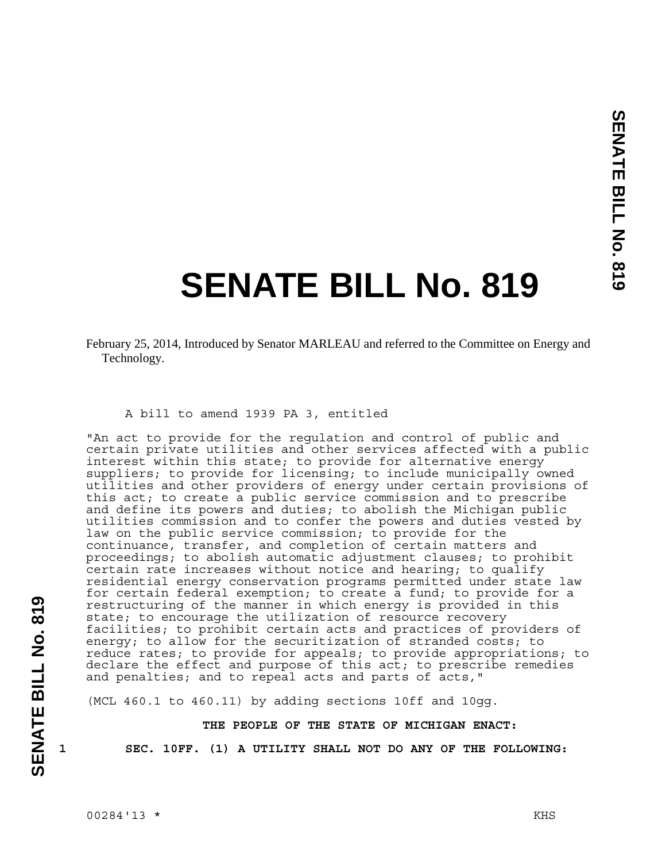## **SENATE BILL No. 819**

February 25, 2014, Introduced by Senator MARLEAU and referred to the Committee on Energy and Technology.

## A bill to amend 1939 PA 3, entitled

"An act to provide for the regulation and control of public and certain private utilities and other services affected with a public interest within this state; to provide for alternative energy suppliers; to provide for licensing; to include municipally owned utilities and other providers of energy under certain provisions of this act; to create a public service commission and to prescribe and define its powers and duties; to abolish the Michigan public utilities commission and to confer the powers and duties vested by law on the public service commission; to provide for the continuance, transfer, and completion of certain matters and proceedings; to abolish automatic adjustment clauses; to prohibit certain rate increases without notice and hearing; to qualify residential energy conservation programs permitted under state law for certain federal exemption; to create a fund; to provide for a restructuring of the manner in which energy is provided in this state; to encourage the utilization of resource recovery facilities; to prohibit certain acts and practices of providers of energy; to allow for the securitization of stranded costs; to reduce rates; to provide for appeals; to provide appropriations; to declare the effect and purpose of this act; to prescribe remedies and penalties; and to repeal acts and parts of acts,"

(MCL  $460.1$  to  $460.11$ ) by adding sections  $10ff$  and  $10qq$ .

## **THE PEOPLE OF THE STATE OF MICHIGAN ENACT:**

**SENATE BILL No. 819** 

SENATE BILL No. 819

**1 SEC. 10FF. (1) A UTILITY SHALL NOT DO ANY OF THE FOLLOWING:**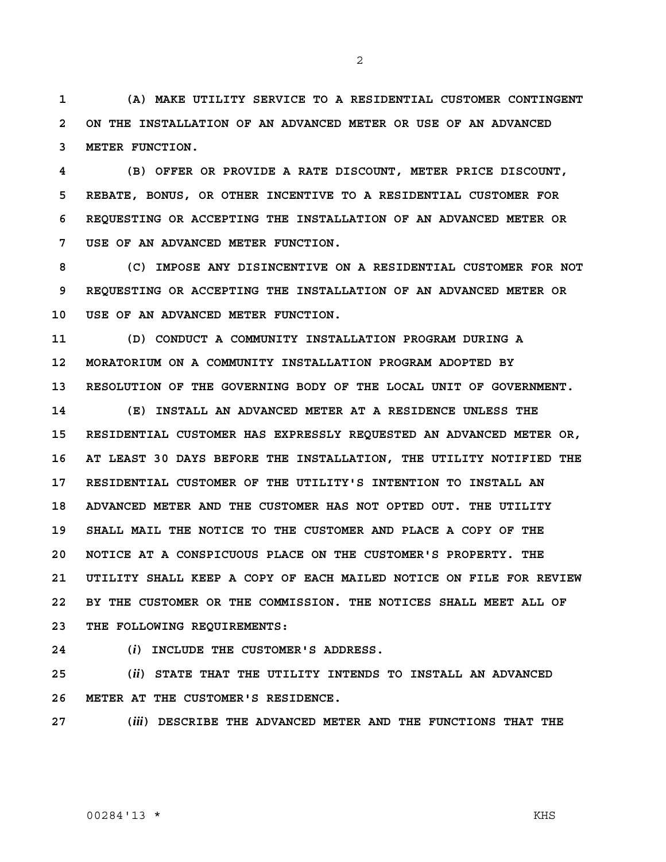**1 (A) MAKE UTILITY SERVICE TO A RESIDENTIAL CUSTOMER CONTINGENT 2 ON THE INSTALLATION OF AN ADVANCED METER OR USE OF AN ADVANCED 3 METER FUNCTION.** 

**4 (B) OFFER OR PROVIDE A RATE DISCOUNT, METER PRICE DISCOUNT, 5 REBATE, BONUS, OR OTHER INCENTIVE TO A RESIDENTIAL CUSTOMER FOR 6 REQUESTING OR ACCEPTING THE INSTALLATION OF AN ADVANCED METER OR 7 USE OF AN ADVANCED METER FUNCTION.** 

**8 (C) IMPOSE ANY DISINCENTIVE ON A RESIDENTIAL CUSTOMER FOR NOT 9 REQUESTING OR ACCEPTING THE INSTALLATION OF AN ADVANCED METER OR 10 USE OF AN ADVANCED METER FUNCTION.** 

**11 (D) CONDUCT A COMMUNITY INSTALLATION PROGRAM DURING A 12 MORATORIUM ON A COMMUNITY INSTALLATION PROGRAM ADOPTED BY 13 RESOLUTION OF THE GOVERNING BODY OF THE LOCAL UNIT OF GOVERNMENT.** 

**14 (E) INSTALL AN ADVANCED METER AT A RESIDENCE UNLESS THE 15 RESIDENTIAL CUSTOMER HAS EXPRESSLY REQUESTED AN ADVANCED METER OR, 16 AT LEAST 30 DAYS BEFORE THE INSTALLATION, THE UTILITY NOTIFIED THE 17 RESIDENTIAL CUSTOMER OF THE UTILITY'S INTENTION TO INSTALL AN 18 ADVANCED METER AND THE CUSTOMER HAS NOT OPTED OUT. THE UTILITY 19 SHALL MAIL THE NOTICE TO THE CUSTOMER AND PLACE A COPY OF THE 20 NOTICE AT A CONSPICUOUS PLACE ON THE CUSTOMER'S PROPERTY. THE 21 UTILITY SHALL KEEP A COPY OF EACH MAILED NOTICE ON FILE FOR REVIEW 22 BY THE CUSTOMER OR THE COMMISSION. THE NOTICES SHALL MEET ALL OF 23 THE FOLLOWING REQUIREMENTS:** 

**24 (***i***) INCLUDE THE CUSTOMER'S ADDRESS.** 

**25 (***ii***) STATE THAT THE UTILITY INTENDS TO INSTALL AN ADVANCED 26 METER AT THE CUSTOMER'S RESIDENCE.** 

**27 (***iii***) DESCRIBE THE ADVANCED METER AND THE FUNCTIONS THAT THE** 

## 00284'13 \* KHS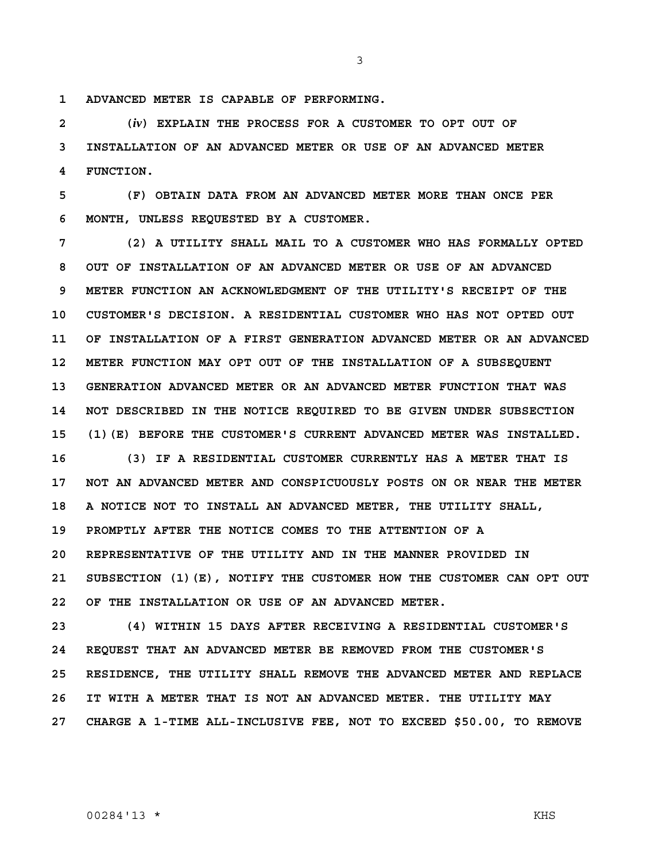**1 ADVANCED METER IS CAPABLE OF PERFORMING.** 

**2 (***iv***) EXPLAIN THE PROCESS FOR A CUSTOMER TO OPT OUT OF 3 INSTALLATION OF AN ADVANCED METER OR USE OF AN ADVANCED METER 4 FUNCTION.** 

**5 (F) OBTAIN DATA FROM AN ADVANCED METER MORE THAN ONCE PER 6 MONTH, UNLESS REQUESTED BY A CUSTOMER.** 

**7 (2) A UTILITY SHALL MAIL TO A CUSTOMER WHO HAS FORMALLY OPTED 8 OUT OF INSTALLATION OF AN ADVANCED METER OR USE OF AN ADVANCED 9 METER FUNCTION AN ACKNOWLEDGMENT OF THE UTILITY'S RECEIPT OF THE 10 CUSTOMER'S DECISION. A RESIDENTIAL CUSTOMER WHO HAS NOT OPTED OUT 11 OF INSTALLATION OF A FIRST GENERATION ADVANCED METER OR AN ADVANCED 12 METER FUNCTION MAY OPT OUT OF THE INSTALLATION OF A SUBSEQUENT 13 GENERATION ADVANCED METER OR AN ADVANCED METER FUNCTION THAT WAS 14 NOT DESCRIBED IN THE NOTICE REQUIRED TO BE GIVEN UNDER SUBSECTION 15 (1)(E) BEFORE THE CUSTOMER'S CURRENT ADVANCED METER WAS INSTALLED.** 

**16 (3) IF A RESIDENTIAL CUSTOMER CURRENTLY HAS A METER THAT IS 17 NOT AN ADVANCED METER AND CONSPICUOUSLY POSTS ON OR NEAR THE METER 18 A NOTICE NOT TO INSTALL AN ADVANCED METER, THE UTILITY SHALL, 19 PROMPTLY AFTER THE NOTICE COMES TO THE ATTENTION OF A 20 REPRESENTATIVE OF THE UTILITY AND IN THE MANNER PROVIDED IN 21 SUBSECTION (1)(E), NOTIFY THE CUSTOMER HOW THE CUSTOMER CAN OPT OUT 22 OF THE INSTALLATION OR USE OF AN ADVANCED METER.** 

**23 (4) WITHIN 15 DAYS AFTER RECEIVING A RESIDENTIAL CUSTOMER'S 24 REQUEST THAT AN ADVANCED METER BE REMOVED FROM THE CUSTOMER'S 25 RESIDENCE, THE UTILITY SHALL REMOVE THE ADVANCED METER AND REPLACE 26 IT WITH A METER THAT IS NOT AN ADVANCED METER. THE UTILITY MAY 27 CHARGE A 1-TIME ALL-INCLUSIVE FEE, NOT TO EXCEED \$50.00, TO REMOVE**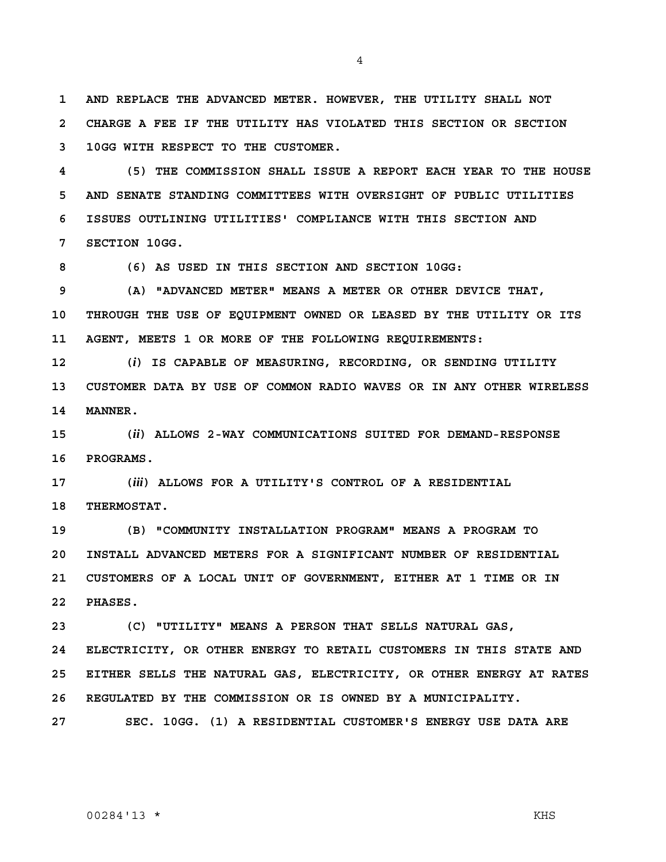**1 AND REPLACE THE ADVANCED METER. HOWEVER, THE UTILITY SHALL NOT 2 CHARGE A FEE IF THE UTILITY HAS VIOLATED THIS SECTION OR SECTION 3 10GG WITH RESPECT TO THE CUSTOMER.** 

4

**4 (5) THE COMMISSION SHALL ISSUE A REPORT EACH YEAR TO THE HOUSE 5 AND SENATE STANDING COMMITTEES WITH OVERSIGHT OF PUBLIC UTILITIES 6 ISSUES OUTLINING UTILITIES' COMPLIANCE WITH THIS SECTION AND 7 SECTION 10GG.** 

**8 (6) AS USED IN THIS SECTION AND SECTION 10GG:** 

**9 (A) "ADVANCED METER" MEANS A METER OR OTHER DEVICE THAT, 10 THROUGH THE USE OF EQUIPMENT OWNED OR LEASED BY THE UTILITY OR ITS 11 AGENT, MEETS 1 OR MORE OF THE FOLLOWING REQUIREMENTS:** 

**12 (***i***) IS CAPABLE OF MEASURING, RECORDING, OR SENDING UTILITY 13 CUSTOMER DATA BY USE OF COMMON RADIO WAVES OR IN ANY OTHER WIRELESS 14 MANNER.** 

**15 (***ii***) ALLOWS 2-WAY COMMUNICATIONS SUITED FOR DEMAND-RESPONSE 16 PROGRAMS.** 

**17 (***iii***) ALLOWS FOR A UTILITY'S CONTROL OF A RESIDENTIAL 18 THERMOSTAT.** 

**19 (B) "COMMUNITY INSTALLATION PROGRAM" MEANS A PROGRAM TO 20 INSTALL ADVANCED METERS FOR A SIGNIFICANT NUMBER OF RESIDENTIAL 21 CUSTOMERS OF A LOCAL UNIT OF GOVERNMENT, EITHER AT 1 TIME OR IN 22 PHASES.** 

**23 (C) "UTILITY" MEANS A PERSON THAT SELLS NATURAL GAS,** 

**24 ELECTRICITY, OR OTHER ENERGY TO RETAIL CUSTOMERS IN THIS STATE AND 25 EITHER SELLS THE NATURAL GAS, ELECTRICITY, OR OTHER ENERGY AT RATES 26 REGULATED BY THE COMMISSION OR IS OWNED BY A MUNICIPALITY.** 

**27 SEC. 10GG. (1) A RESIDENTIAL CUSTOMER'S ENERGY USE DATA ARE**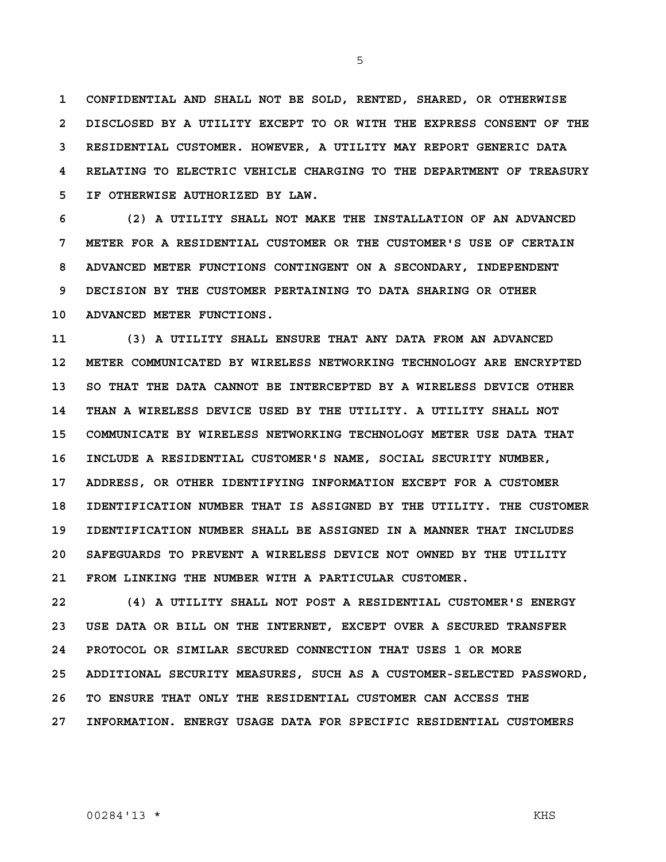**1 CONFIDENTIAL AND SHALL NOT BE SOLD, RENTED, SHARED, OR OTHERWISE 2 DISCLOSED BY A UTILITY EXCEPT TO OR WITH THE EXPRESS CONSENT OF THE 3 RESIDENTIAL CUSTOMER. HOWEVER, A UTILITY MAY REPORT GENERIC DATA 4 RELATING TO ELECTRIC VEHICLE CHARGING TO THE DEPARTMENT OF TREASURY 5 IF OTHERWISE AUTHORIZED BY LAW.** 

**6 (2) A UTILITY SHALL NOT MAKE THE INSTALLATION OF AN ADVANCED 7 METER FOR A RESIDENTIAL CUSTOMER OR THE CUSTOMER'S USE OF CERTAIN 8 ADVANCED METER FUNCTIONS CONTINGENT ON A SECONDARY, INDEPENDENT 9 DECISION BY THE CUSTOMER PERTAINING TO DATA SHARING OR OTHER 10 ADVANCED METER FUNCTIONS.** 

**11 (3) A UTILITY SHALL ENSURE THAT ANY DATA FROM AN ADVANCED 12 METER COMMUNICATED BY WIRELESS NETWORKING TECHNOLOGY ARE ENCRYPTED 13 SO THAT THE DATA CANNOT BE INTERCEPTED BY A WIRELESS DEVICE OTHER 14 THAN A WIRELESS DEVICE USED BY THE UTILITY. A UTILITY SHALL NOT 15 COMMUNICATE BY WIRELESS NETWORKING TECHNOLOGY METER USE DATA THAT 16 INCLUDE A RESIDENTIAL CUSTOMER'S NAME, SOCIAL SECURITY NUMBER, 17 ADDRESS, OR OTHER IDENTIFYING INFORMATION EXCEPT FOR A CUSTOMER 18 IDENTIFICATION NUMBER THAT IS ASSIGNED BY THE UTILITY. THE CUSTOMER 19 IDENTIFICATION NUMBER SHALL BE ASSIGNED IN A MANNER THAT INCLUDES 20 SAFEGUARDS TO PREVENT A WIRELESS DEVICE NOT OWNED BY THE UTILITY 21 FROM LINKING THE NUMBER WITH A PARTICULAR CUSTOMER.** 

**22 (4) A UTILITY SHALL NOT POST A RESIDENTIAL CUSTOMER'S ENERGY 23 USE DATA OR BILL ON THE INTERNET, EXCEPT OVER A SECURED TRANSFER 24 PROTOCOL OR SIMILAR SECURED CONNECTION THAT USES 1 OR MORE 25 ADDITIONAL SECURITY MEASURES, SUCH AS A CUSTOMER-SELECTED PASSWORD, 26 TO ENSURE THAT ONLY THE RESIDENTIAL CUSTOMER CAN ACCESS THE 27 INFORMATION. ENERGY USAGE DATA FOR SPECIFIC RESIDENTIAL CUSTOMERS**